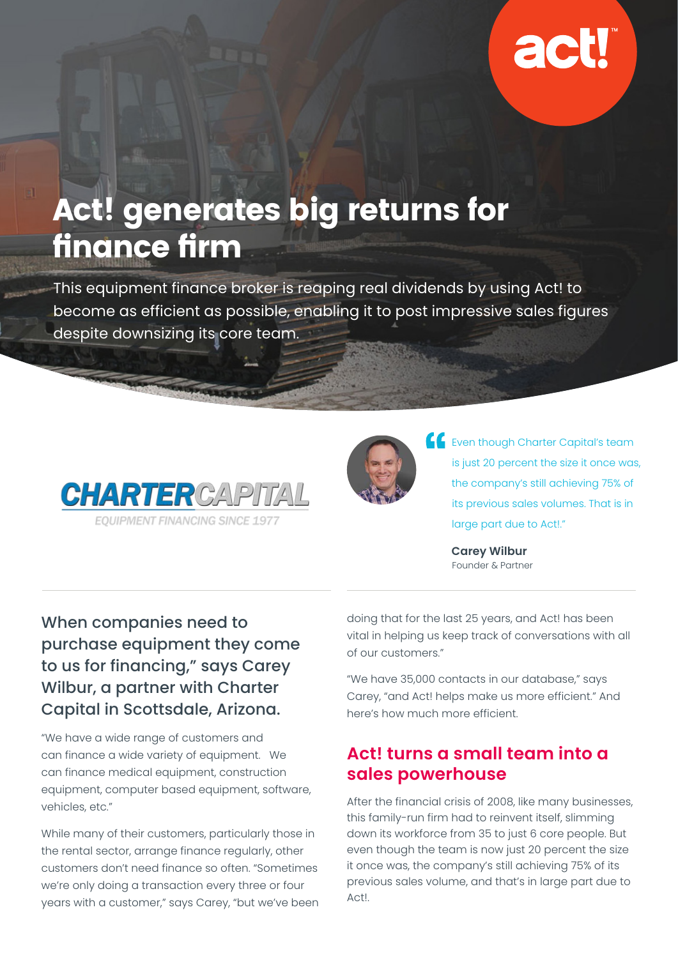

# Act! generates big returns for finance firm

This equipment finance broker is reaping real dividends by using Act! to become as efficient as possible, enabling it to post impressive sales figures despite downsizing its core team.





**Exenthough Charter Capital's team** is just 20 percent the size it once was, the company's still achieving 75% of its previous sales volumes. That is in large part due to Act!."

> **Carey Wilbur** Founder & Partner

When companies need to purchase equipment they come to us for financing," says Carey Wilbur, a partner with Charter Capital in Scottsdale, Arizona.

"We have a wide range of customers and can finance a wide variety of equipment. We can finance medical equipment, construction equipment, computer based equipment, software, vehicles, etc."

While many of their customers, particularly those in the rental sector, arrange finance regularly, other customers don't need finance so often. "Sometimes we're only doing a transaction every three or four years with a customer," says Carey, "but we've been doing that for the last 25 years, and Act! has been vital in helping us keep track of conversations with all of our customers."

"We have 35,000 contacts in our database," says Carey, "and Act! helps make us more efficient." And here's how much more efficient.

### **Act! turns a small team into a sales powerhouse**

After the financial crisis of 2008, like many businesses, this family-run firm had to reinvent itself, slimming down its workforce from 35 to just 6 core people. But even though the team is now just 20 percent the size it once was, the company's still achieving 75% of its previous sales volume, and that's in large part due to Act!.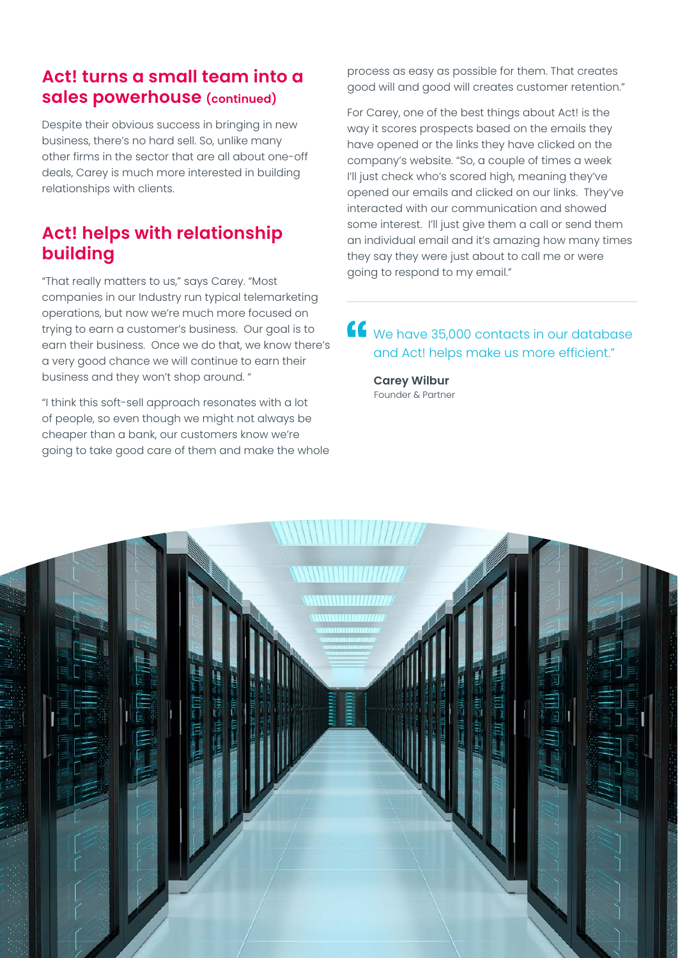#### **Act! turns a small team into a sales powerhouse (continued)**

Despite their obvious success in bringing in new business, there's no hard sell. So, unlike many other firms in the sector that are all about one-off deals, Carey is much more interested in building relationships with clients.

### **Act! helps with relationship building**

"That really matters to us," says Carey. "Most companies in our Industry run typical telemarketing operations, but now we're much more focused on trying to earn a customer's business. Our goal is to earn their business. Once we do that, we know there's a very good chance we will continue to earn their business and they won't shop around. "

"I think this soft-sell approach resonates with a lot of people, so even though we might not always be cheaper than a bank, our customers know we're going to take good care of them and make the whole

process as easy as possible for them. That creates good will and good will creates customer retention."

For Carey, one of the best things about Act! is the way it scores prospects based on the emails they have opened or the links they have clicked on the company's website. "So, a couple of times a week I'll just check who's scored high, meaning they've opened our emails and clicked on our links. They've interacted with our communication and showed some interest. I'll just give them a call or send them an individual email and it's amazing how many times they say they were just about to call me or were going to respond to my email."

We have 35,000 contacts in our database and Act! helps make us more efficient."

**Carey Wilbur** Founder & Partner